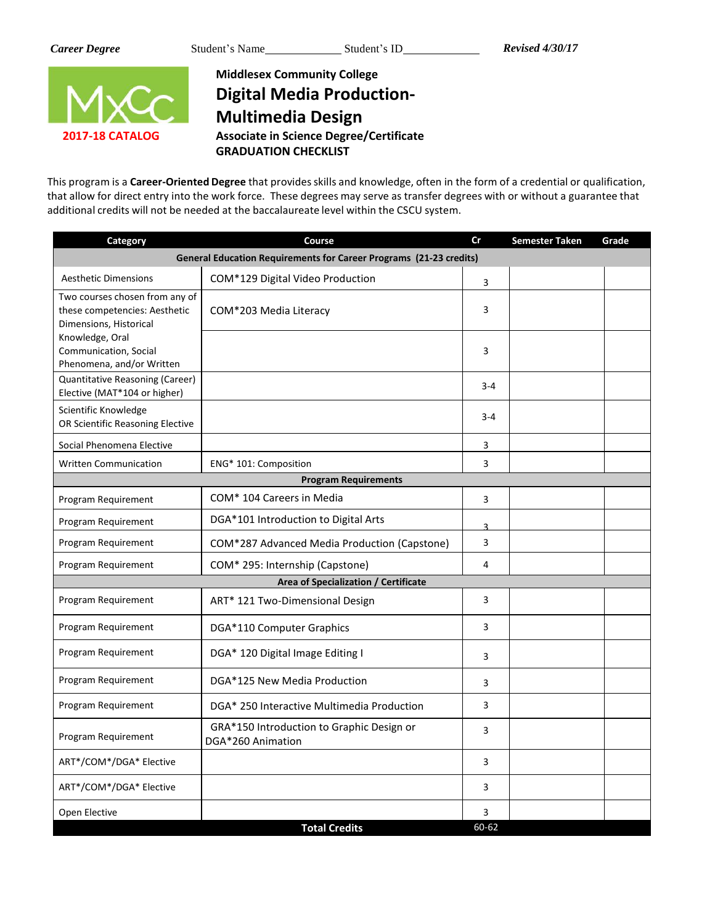

**Middlesex Community College Digital Media Production-Multimedia Design Associate in Science Degree/Certificate GRADUATION CHECKLIST**

This program is a **Career-Oriented Degree** that providesskills and knowledge, often in the form of a credential or qualification, that allow for direct entry into the work force. These degrees may serve as transfer degrees with or without a guarantee that additional credits will not be needed at the baccalaureate level within the CSCU system.

| Category                                                                                  | Course                                                                    | cr             | <b>Semester Taken</b> | Grade |
|-------------------------------------------------------------------------------------------|---------------------------------------------------------------------------|----------------|-----------------------|-------|
|                                                                                           | <b>General Education Requirements for Career Programs (21-23 credits)</b> |                |                       |       |
| <b>Aesthetic Dimensions</b>                                                               | COM*129 Digital Video Production                                          | 3              |                       |       |
| Two courses chosen from any of<br>these competencies: Aesthetic<br>Dimensions, Historical | COM*203 Media Literacy                                                    | 3              |                       |       |
| Knowledge, Oral<br>Communication, Social<br>Phenomena, and/or Written                     |                                                                           | 3              |                       |       |
| Quantitative Reasoning (Career)<br>Elective (MAT*104 or higher)                           |                                                                           | $3 - 4$        |                       |       |
| Scientific Knowledge<br>OR Scientific Reasoning Elective                                  |                                                                           | $3 - 4$        |                       |       |
| Social Phenomena Elective                                                                 |                                                                           | 3              |                       |       |
| <b>Written Communication</b>                                                              | ENG* 101: Composition                                                     | 3              |                       |       |
|                                                                                           | <b>Program Requirements</b>                                               |                |                       |       |
| Program Requirement                                                                       | COM* 104 Careers in Media                                                 | 3              |                       |       |
| Program Requirement                                                                       | DGA*101 Introduction to Digital Arts                                      | $\overline{a}$ |                       |       |
| Program Requirement                                                                       | COM*287 Advanced Media Production (Capstone)                              | 3              |                       |       |
| Program Requirement                                                                       | COM* 295: Internship (Capstone)                                           | 4              |                       |       |
|                                                                                           | Area of Specialization / Certificate                                      |                |                       |       |
| Program Requirement                                                                       | ART* 121 Two-Dimensional Design                                           | 3              |                       |       |
| Program Requirement                                                                       | DGA*110 Computer Graphics                                                 | 3              |                       |       |
| Program Requirement                                                                       | DGA* 120 Digital Image Editing I                                          | 3              |                       |       |
| Program Requirement                                                                       | DGA*125 New Media Production                                              | 3              |                       |       |
| Program Requirement                                                                       | DGA* 250 Interactive Multimedia Production                                | 3              |                       |       |
| Program Requirement                                                                       | GRA*150 Introduction to Graphic Design or<br>DGA*260 Animation            | 3              |                       |       |
| ART*/COM*/DGA* Elective                                                                   |                                                                           | 3              |                       |       |
| ART*/COM*/DGA* Elective                                                                   |                                                                           | 3              |                       |       |
| Open Elective                                                                             |                                                                           | 3              |                       |       |
|                                                                                           | <b>Total Credits</b>                                                      | 60-62          |                       |       |